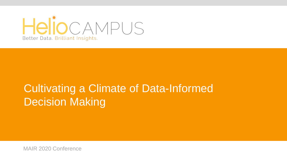

# Cultivating a Climate of Data-Informed **Decision Making**

MAIR 2020 Conference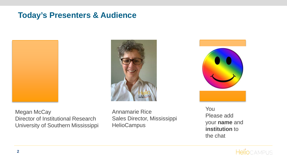## **Today's Presenters & Audience**







Megan McCay Director of Institutional Research University of Southern Mississippi Annamarie Rice Sales Director, Mississippi **HelioCampus** 

You Please add your **name** and **institution** to the chat

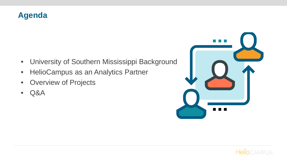#### **Agenda**

- University of Southern Mississippi Background
- HelioCampus as an Analytics Partner
- Overview of Projects
- Q&A



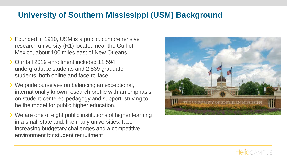## **University of Southern Mississippi (USM) Background**

- **▶ Founded in 1910, USM is a public, comprehensive** research university (R1) located near the Gulf of Mexico, about 100 miles east of New Orleans.
- Our fall 2019 enrollment included 11,594 undergraduate students and 2,539 graduate students, both online and face-to-face.
- We pride ourselves on balancing an exceptional, internationally known research profile with an emphasis on student-centered pedagogy and support, striving to be the model for public higher education.
- **>** We are one of eight public institutions of higher learning in a small state and, like many universities, face increasing budgetary challenges and a competitive environment for student recruitment



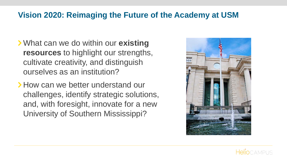### **Vision 2020: Reimaging the Future of the Academy at USM**

- What can we do within our **existing resources** to highlight our strengths, cultivate creativity, and distinguish ourselves as an institution?
- How can we better understand our challenges, identify strategic solutions, and, with foresight, innovate for a new University of Southern Mississippi?



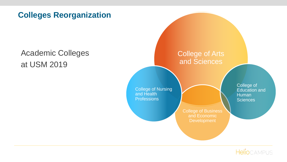### **Colleges Reorganization**

## Academic Colleges at USM 2019



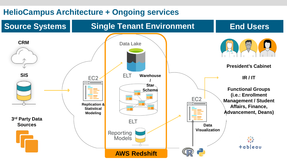### **HelioCampus Architecture + Ongoing services**

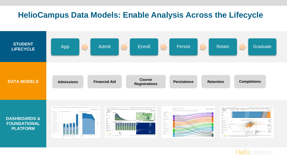#### **HelioCampus Data Models: Enable Analysis Across the Lifecycle**













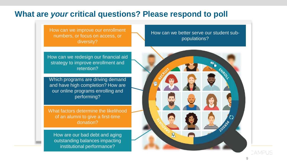#### **What are** *your* **critical questions? Please respond to poll**

How can we improve our enrollment numbers, or focus on access, or diversity?

How can we redesign our financial aid strategy to improve enrollment and retention?

Which programs are driving demand and have high completion? How are our online programs enrolling and performing?

What factors determine the likelihood of an alumni to give a first-time donation?

How are our bad debt and aging outstanding balances impacting institutional performance?

How can we better serve our student subpopulations?



CAMPUS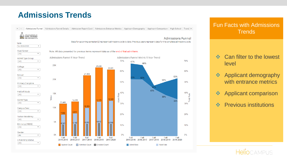## **Admissions Trends**



#### Fun Facts with Admissions **Trends**

- ❖ Can filter to the lowest level
- **❖** Applicant demography with entrance metrics
- **❖** Applicant comparison
- **❖** Previous institutions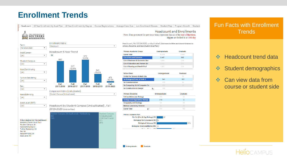## **Enrollment Trends**

Headcount 10 Year Enrollment by Acad Plan 10 Year Enrollment by Degree Course Registrations Average Class Size Low Enrollment Classes Student Map Program Growth Student





#### Acad Level (BOT)

 $(AII)$ 

Sex: All

Headcount by Student Campus (Unduplicated), Fall  $\bullet$ 2019-2020 (click to filter)



#### **Headcount and Enrollments** Note: Data presented for previous terms represent data as of the end of that term.

Majors are locked in at 10th day

Headcount, Fall 2019-2020, unduplicated (click rows to filter and show drill-down to School, Discipline, and then Student Acad Plan )

| <b>Primary Academic Group</b>   | Graduate<br>Undergraduate<br>11.570<br>2.548 |     |  |
|---------------------------------|----------------------------------------------|-----|--|
| <b>Grand Total</b>              |                                              |     |  |
| <b>Col of Arts and Sciences</b> | 5.447                                        | 968 |  |
| Col of Business & Economic Dev  | 1.854                                        | 219 |  |
| Col of Education and Human Sci  | 2.342<br>921                                 |     |  |
| Col of Nursing and Health Prof  | 1.927                                        | 370 |  |
| .                               |                                              |     |  |
| <b>School Desc</b>              | Graduate<br><b>Undergraduate</b>             |     |  |
| Center for Science & Math Edu   |                                              | 20  |  |
| So Biological, Envir, & Earth S | 941                                          | 102 |  |
| So Communication                | 476                                          | 55  |  |
| So Computing Sci & Computer En  | 493                                          | 39  |  |
| So Construction & Design<br>٠.  | 499                                          |     |  |

| <b>Primary Discipline</b>             | Undergraduate | Graduate |  |
|---------------------------------------|---------------|----------|--|
| <b>Cell and Molecular Biology</b>     | 325           | 52       |  |
| <b>Ecology and Organismal Biology</b> | 470           | 3        |  |
| <b>Geography and Geology</b>          | 54            | 28       |  |
| <b>Medical Laboratory Science</b>     | 92            | 19       |  |
| <b>Grand Total</b><br>١đ              | 941           | 102      |  |

h.



Fun Facts with Enrollment **Trends** 

- ❖ Headcount trend data
- **❖** Student demographics
- ❖ Can view data from course or student side

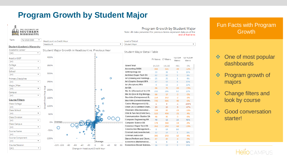## **Program Growth by Student Major**



#### Program Growth by Student Major

Note: All data presented for previous terms represent data as of the end of that term

|               | Level of Detail                 |          |                     |                    |                      |
|---------------|---------------------------------|----------|---------------------|--------------------|----------------------|
|               | <b>Student Major</b>            |          |                     |                    |                      |
| Эr            | Student Major Detail Table      |          |                     |                    |                      |
|               |                                 |          | PY Metric CY Metric | YoY Diff<br>Metric | YoY % Diff<br>Metric |
|               | <b>Grand Total</b>              | 14,519   | 14,118              | $-401$             | $-3%$                |
|               | <b>Accounting BSBA</b>          | 365      | 321                 | $-44$              | $-12%$               |
| o             | Anthropology BA                 | 33       | 38                  | 5                  | 15%                  |
|               | Architect Engnr Tech BS         | 82       | 85                  | 3                  | 4%                   |
|               | Art (Drawing and Painting)      | 25       | 26                  | $\mathbf{1}$       | 4%                   |
|               | Art (Graphic Design) BFA        | 47       | 53                  | 6                  | 13%                  |
|               | Art (Sculpture) BFA             | 9        | 11                  | $\overline{2}$     | 22%                  |
| Art BA        |                                 | 86       | 70                  | $-16$              | $-19%$               |
|               | Bio Sci (Biomedical Sci) BS     | 233      | 286                 | 53                 | 23%                  |
|               | Bio Sci (Eco & Org Biology      | 60       | 57                  | -3                 | $-5%$                |
|               | Bus Adm (Entrepreneur) B        | 154      | 152                 | $-2$               | $-1%$                |
|               | Bus Adm (General Busines        | 726      | 686                 | $-40$              | $-6%$                |
|               | Casino Management (UG)          | 1.       | $\Omega$            | $-1$               | $-100%$              |
|               | Chem (ACS Certified Chem        | 19       | 10                  | -9                 | $-47%$               |
|               | Chemistry (Biochemistry)        | 104      | 85                  | $-19$              | $-18%$               |
|               | Chid & Fam Sci (Child Dev)      | 519      | 498                 | $-21$              | $-4%$                |
|               | <b>Communication Studies BA</b> | 48       | 45                  | -3                 | $-6%$                |
|               | <b>Computer Engineering BS</b>  | 40       | 58                  | 18                 | 45%                  |
|               | <b>Computer Science BS</b>      | 174      | 160                 | $-14$              | $-8%$                |
|               | <b>Construct Engnr Tech BS</b>  | 361      | 293                 | $-68$              | $-19%$               |
|               | Construction Management         | $\bf{0}$ | 64                  | 64                 |                      |
|               | Criminal Just(JuvenileJust      | 13       | 14                  | $\mathbf{1}$       | 8%                   |
|               | Criminal Justice BA             | 305      | 293                 | $-12$              | -4%                  |
|               | Dance (Perform and Chore        | 47       | 43                  | -4                 | $-9%$                |
|               | Economics (Mathematics)         | 6        | 9                   | 3                  | 50%                  |
| 60<br>80<br>٥ | Economics (Social Science       | 16       | 19                  | 3                  | 19%                  |

#### Fun Facts with Program **Growth**

- **❖** One of most popular dashboards
- **❖** Program growth of majors
- **❖** Change filters and look by course
- ❖ Good conversation starter!

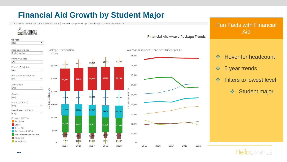## **Financial Aid Growth by Student Major**



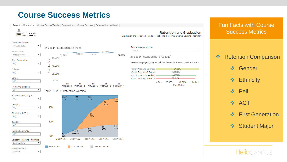## **Course Success Metrics**

Retention/Graduation Course Succes Trends Completions Course Success Selected Cohort Detail



**Retention and Graduation** Graduation and Retention Trends of First-Time, Full-Time, Degree-Seeking Freshman



#### Fun Facts with Course Success Metrics

#### **❖ Retention Comparison**

- ❖ Gender
- **❖** Ethnicity
- **❖ Pell**
- ❖ ACT
- **❖** First Generation
- Student Major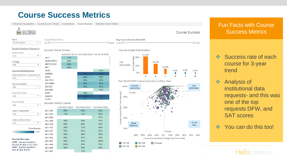## **Course Success Metrics**

Retention/Graduation | Course Succes Trends | Completions | Course Success | Selected Cohort Detail



#### Fun Facts with Course Success Metrics

 $\neg$  1 000

4.6%

п

W

High

Performers

On The

Rise

40% 50%

- ❖ Success rate of each course for 3-year trend
- ❖ Analysis of institutional data requests- and this was one of the top requests DFW, and SAT scores
- ❖ You can do this too!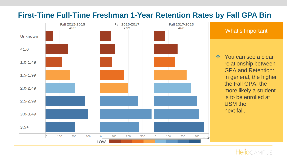

#### **First-Time Full-Time Freshman 1-Year Retention Rates by Fall GPA Bin**

❖ You can see a clear relationship between GPA and Retention: in general, the higher the Fall GPA, the more likely a student is to be enrolled at USM the next fall.

What's Important

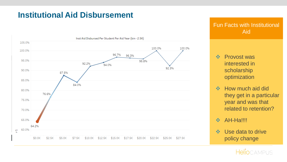### **Institutional Aid Disbursement**



#### Fun Facts with Institutional Aid

- ❖ Provost was interested in scholarship optimization
- **❖** How much aid did they get in a particular year and was that related to retention?
- **\*** AH-Ha!!!!
- ❖ Use data to drive policy change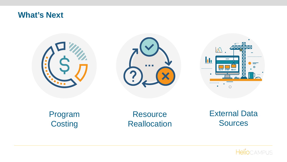#### **What's Next**







Program **Costing** 

**Resource Reallocation**  External Data **Sources**